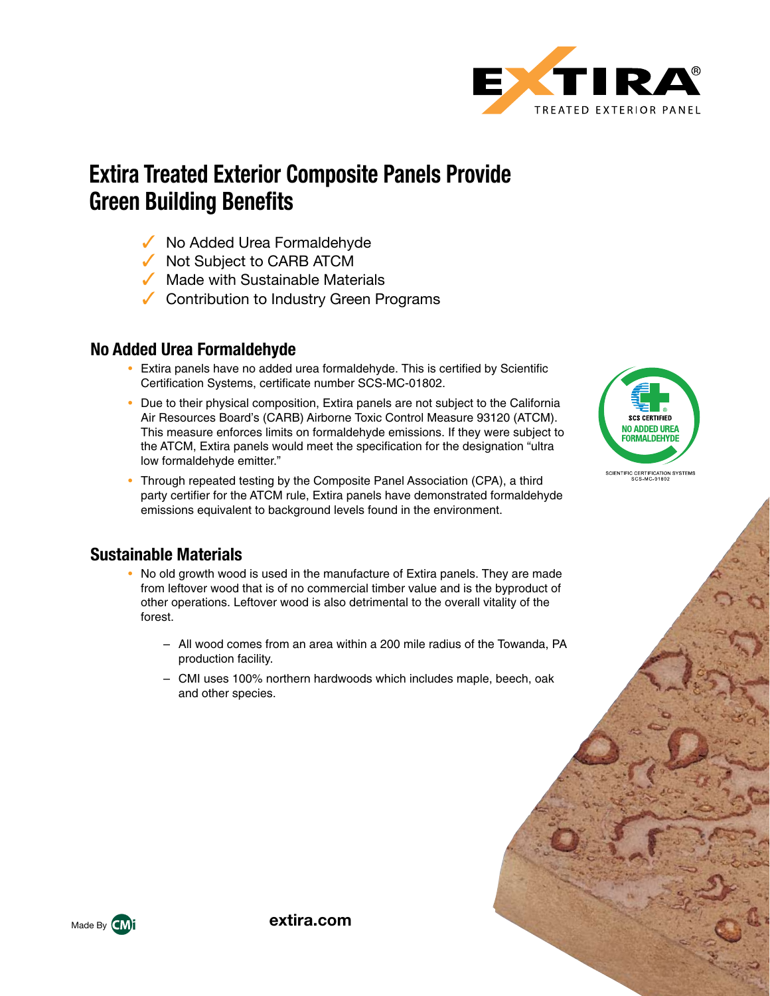

# **Extira Treated Exterior Composite Panels Provide Green Building Benefits**

- $\sqrt{\ }$  No Added Urea Formaldehyde
- $\sqrt{\phantom{a}}$  Not Subject to CARB ATCM
- $\sqrt{\phantom{a}}$  Made with Sustainable Materials
- $\sqrt{\phantom{a}}$  Contribution to Industry Green Programs

#### **No Added Urea Formaldehyde**

- Extira panels have no added urea formaldehyde. This is certified by Scientific Certification Systems, certificate number SCS-MC-01802.
- Due to their physical composition, Extira panels are not subject to the California Air Resources Board's (CARB) Airborne Toxic Control Measure 93120 (ATCM). This measure enforces limits on formaldehyde emissions. If they were subject to the ATCM, Extira panels would meet the specification for the designation "ultra low formaldehyde emitter."
- Through repeated testing by the Composite Panel Association (CPA), a third party certifier for the ATCM rule, Extira panels have demonstrated formaldehyde emissions equivalent to background levels found in the environment.

### **Sustainable Materials**

- No old growth wood is used in the manufacture of Extira panels. They are made from leftover wood that is of no commercial timber value and is the byproduct of other operations. Leftover wood is also detrimental to the overall vitality of the forest.
	- All wood comes from an area within a 200 mile radius of the Towanda, PA production facility.
	- CMI uses 100% northern hardwoods which includes maple, beech, oak and other species.





**extira.com**